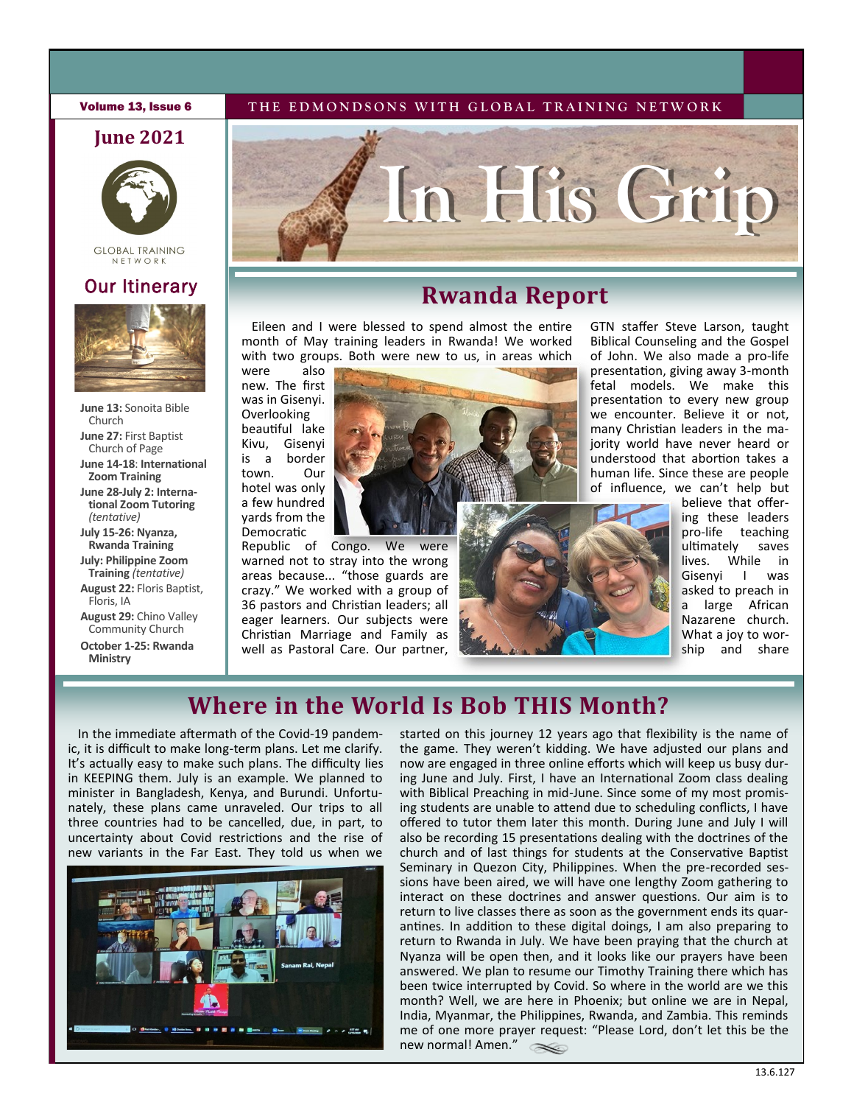#### **Volume 13, Issue 6** THE EDMONDSONS WITH GLOBAL TRAINING NETWORK

### **June 2021**



**GLOBAL TRAINING** N ET W O R K

### Our Itinerary



**June 13:** Sonoita Bible Church **June 27:** First Baptist Church of Page **June 14-18**: **International Zoom Training June 28-July 2: International Zoom Tutoring**  *(tentative)* **July 15-26: Nyanza, Rwanda Training**

**July: Philippine Zoom Training** *(tentative)* **August 22:** Floris Baptist, Floris, IA

**August 29:** Chino Valley Community Church **October 1-25: Rwanda** 

**Ministry**



## **Rwanda Report**

Eileen and I were blessed to spend almost the entire month of May training leaders in Rwanda! We worked with two groups. Both were new to us, in areas which

were also new. The first was in Gisenyi. Overlooking beautiful lake Kivu, Gisenyi is a border town. Our hotel was only a few hundred yards from the Democratic

Republic of Congo. We were warned not to stray into the wrong areas because... "those guards are crazy." We worked with a group of 36 pastors and Christian leaders; all eager learners. Our subjects were Christian Marriage and Family as well as Pastoral Care. Our partner,

GTN staffer Steve Larson, taught Biblical Counseling and the Gospel of John. We also made a pro-life presentation, giving away 3-month fetal models. We make this presentation to every new group we encounter. Believe it or not, many Christian leaders in the majority world have never heard or understood that abortion takes a human life. Since these are people of influence, we can't help but

believe that offering these leaders pro-life teaching ultimately saves lives. While in Gisenyi I asked to preach in a large African Nazarene church. What a joy to worship and share

## **Where in the World Is Bob THIS Month?**

In the immediate aftermath of the Covid-19 pandemic, it is difficult to make long-term plans. Let me clarify. It's actually easy to make such plans. The difficulty lies in KEEPING them. July is an example. We planned to minister in Bangladesh, Kenya, and Burundi. Unfortunately, these plans came unraveled. Our trips to all three countries had to be cancelled, due, in part, to uncertainty about Covid restrictions and the rise of new variants in the Far East. They told us when we



started on this journey 12 years ago that flexibility is the name of the game. They weren't kidding. We have adjusted our plans and now are engaged in three online efforts which will keep us busy during June and July. First, I have an International Zoom class dealing with Biblical Preaching in mid-June. Since some of my most promising students are unable to attend due to scheduling conflicts, I have offered to tutor them later this month. During June and July I will also be recording 15 presentations dealing with the doctrines of the church and of last things for students at the Conservative Baptist Seminary in Quezon City, Philippines. When the pre-recorded sessions have been aired, we will have one lengthy Zoom gathering to interact on these doctrines and answer questions. Our aim is to return to live classes there as soon as the government ends its quarantines. In addition to these digital doings, I am also preparing to return to Rwanda in July. We have been praying that the church at Nyanza will be open then, and it looks like our prayers have been answered. We plan to resume our Timothy Training there which has been twice interrupted by Covid. So where in the world are we this month? Well, we are here in Phoenix; but online we are in Nepal, India, Myanmar, the Philippines, Rwanda, and Zambia. This reminds me of one more prayer request: "Please Lord, don't let this be the new normal! Amen."  $\infty$